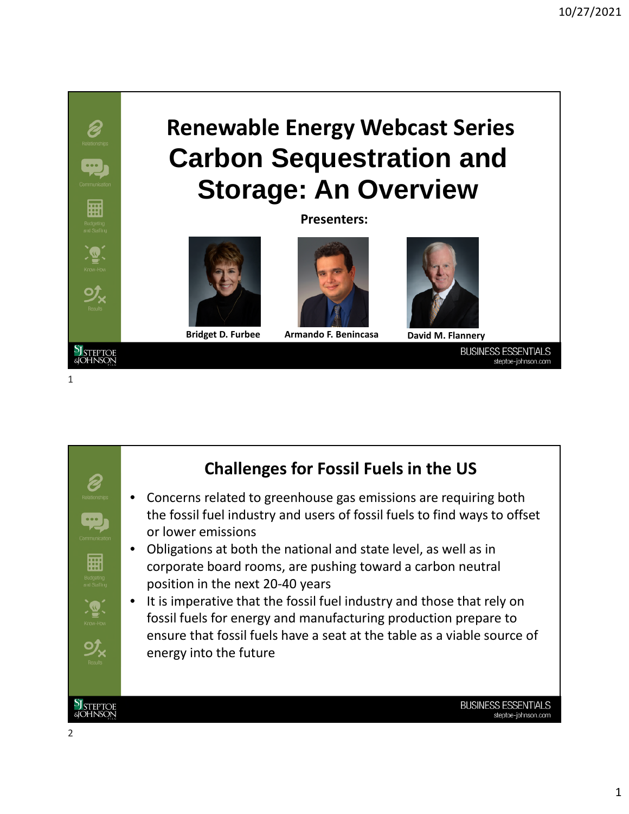## **Carbon Sequestration and Storage: An Overview Renewable Energy Webcast Series**

**Presenters:**





**Bridget D. Furbee Armando F. Benincasa David M. Flannery**



**BUSINESS ESSENTIALS** steptoe-johnson.com



## **Challenges for Fossil Fuels in the US**

- Concerns related to greenhouse gas emissions are requiring both the fossil fuel industry and users of fossil fuels to find ways to offset
- Obligations at both the national and state level, as well as in corporate board rooms, are pushing toward a carbon neutral position in the next 20-40 years
- It is imperative that the fossil fuel industry and those that rely on fossil fuels for energy and manufacturing production prepare to ensure that fossil fuels have a seat at the table as a viable source of

1

**PJ** STEPTOE<br>&IOHNSON

P)

 $\frac{1}{\sqrt{2}}$ 

扁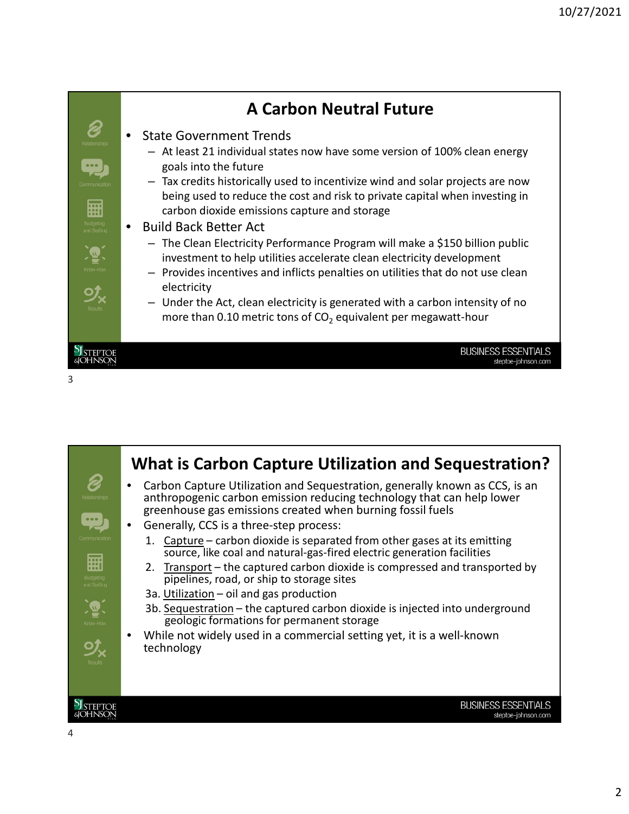

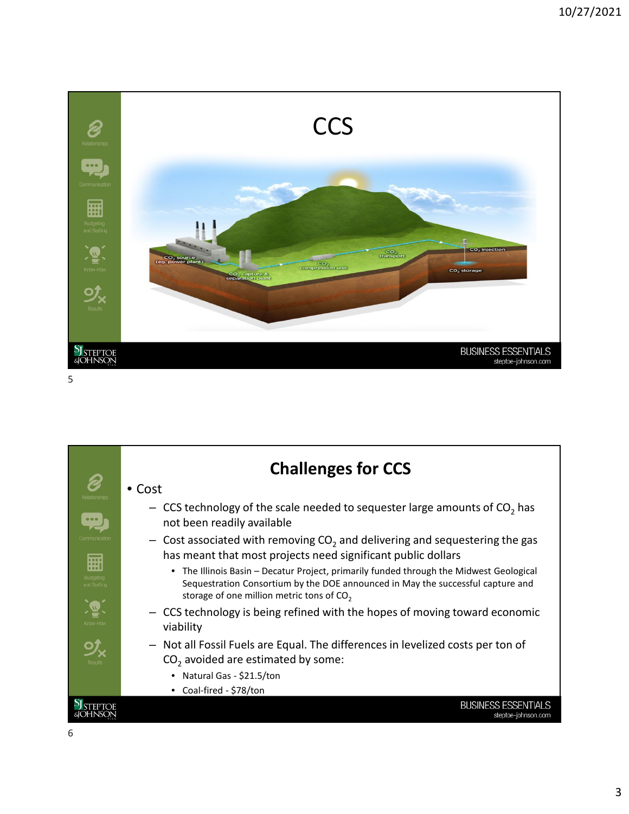

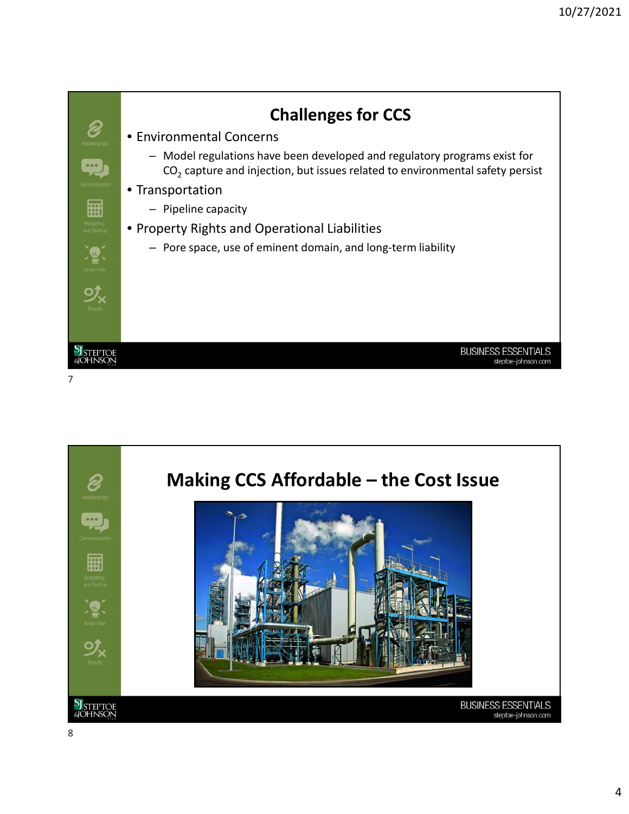

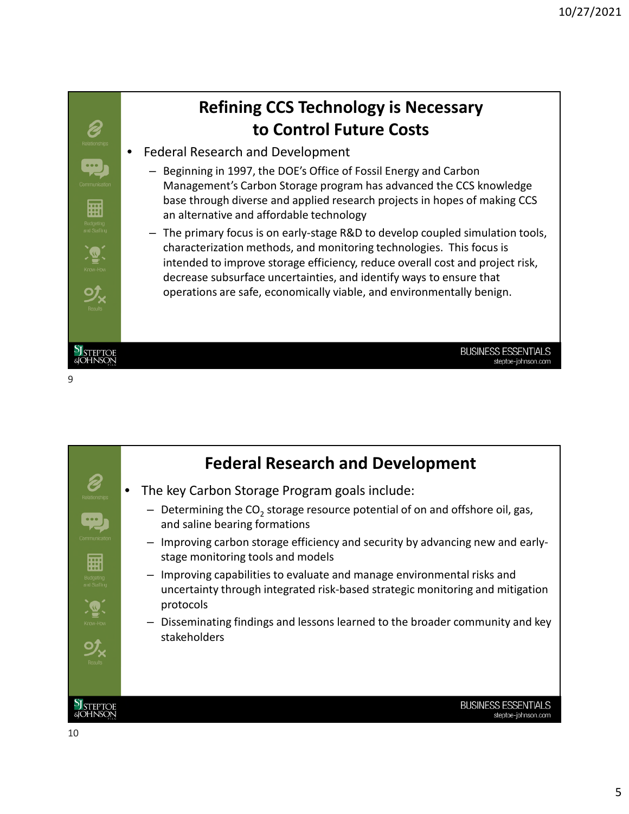

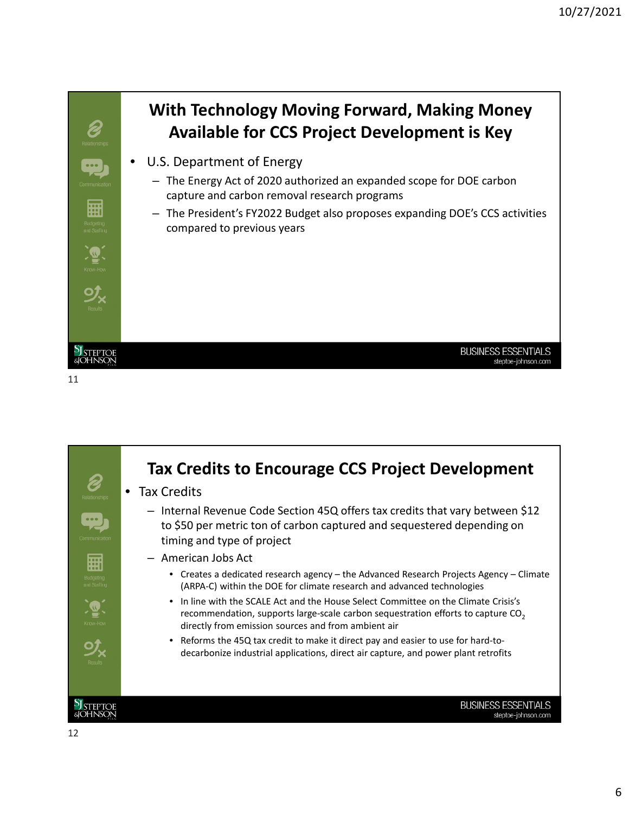

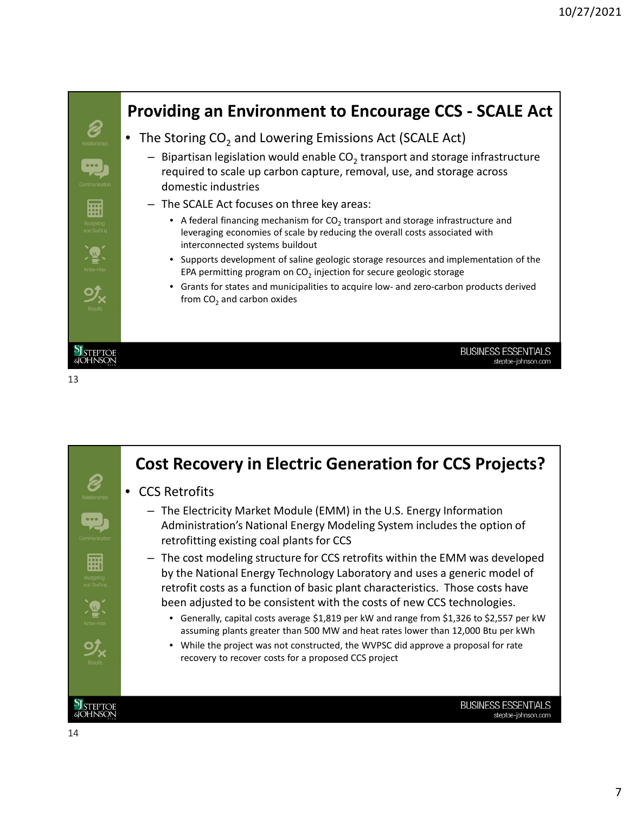

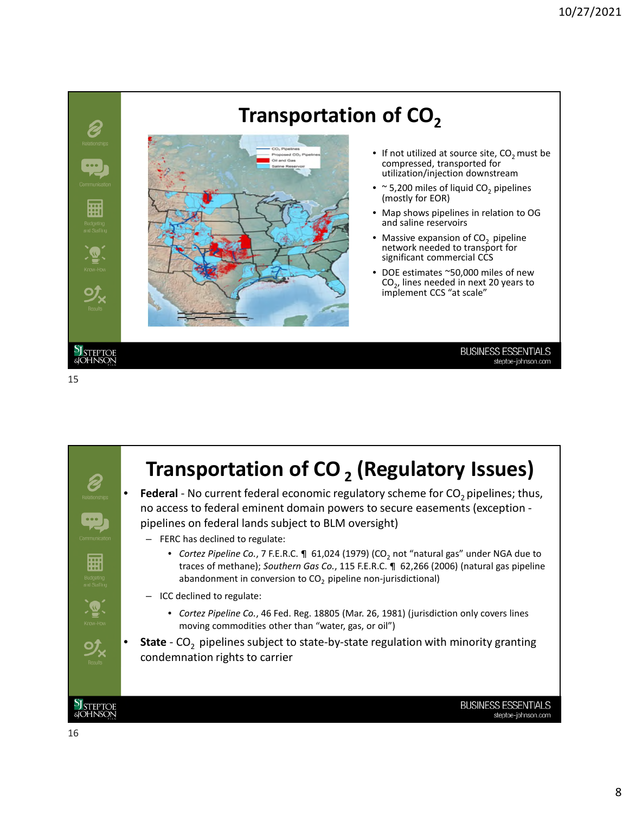

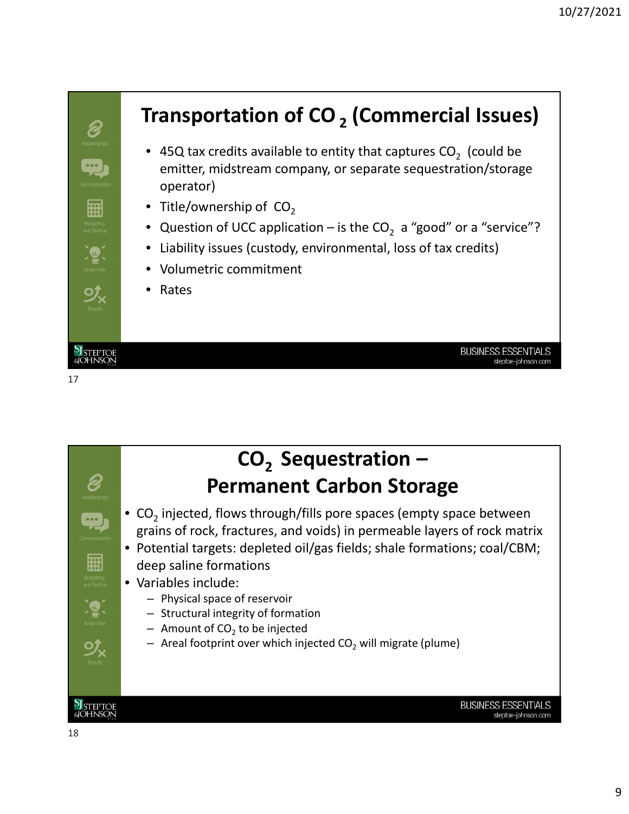



## **CO2 Sequestration – Permanent Carbon Storage**

- CO<sub>2</sub> injected, flows through/fills pore spaces (empty space between grains of rock, fractures, and voids) in permeable layers of rock matrix
- Potential targets: depleted oil/gas fields; shale formations; coal/CBM; deep saline formations
- Variables include:
	- Physical space of reservoir
	- Structural integrity of formation
	- $-$  Amount of CO<sub>2</sub> to be injected
	- $-$  Areal footprint over which injected CO<sub>2</sub> will migrate (plume)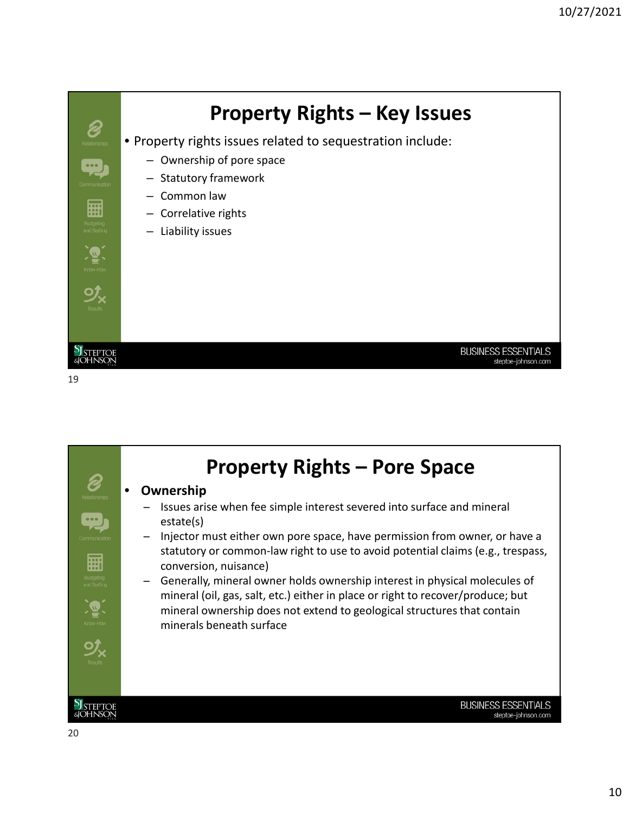

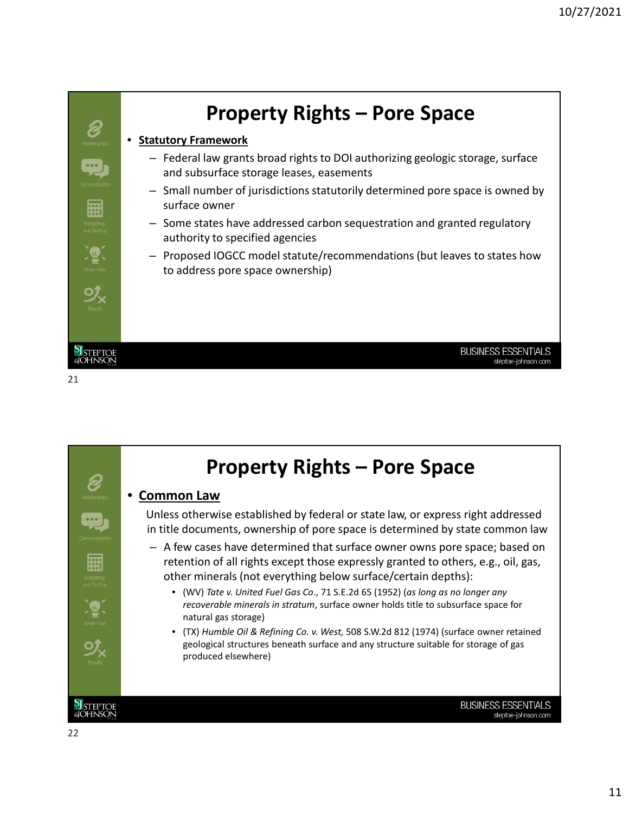

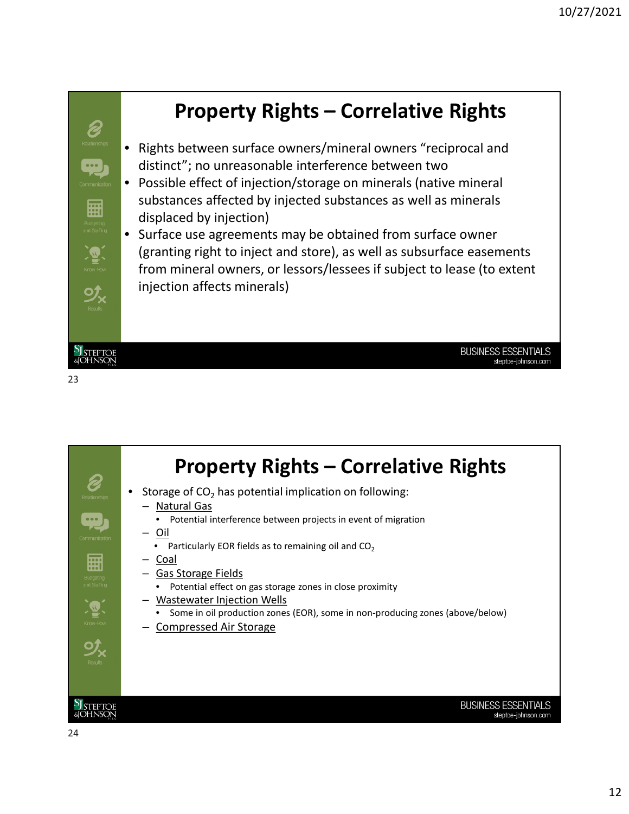

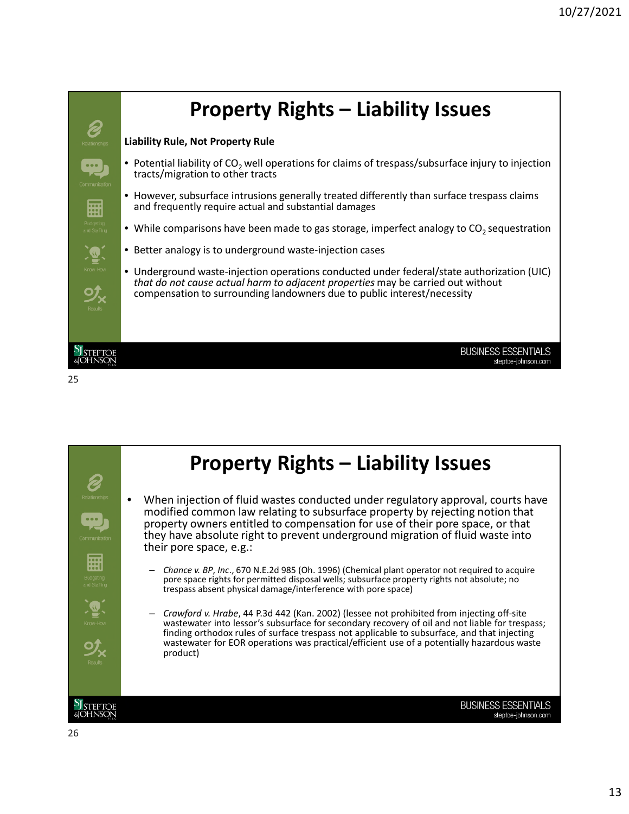

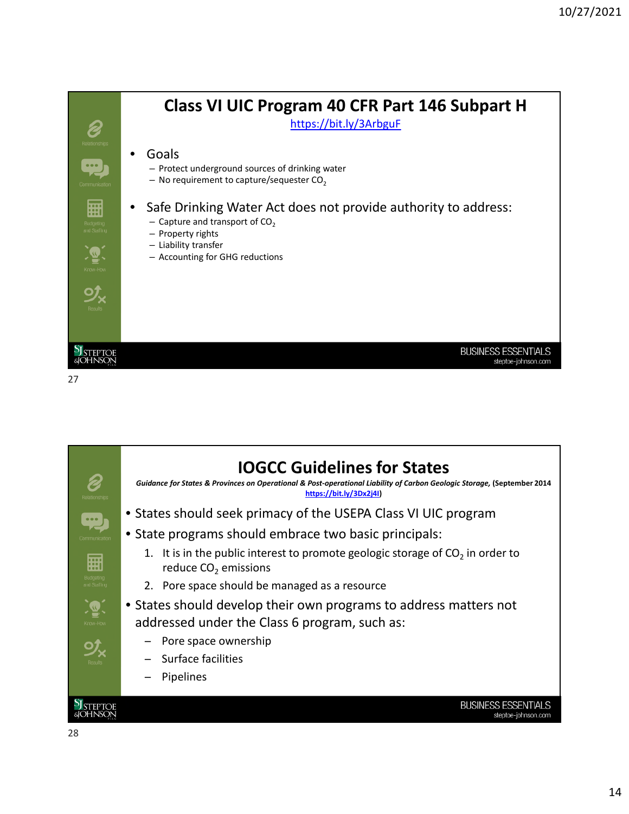

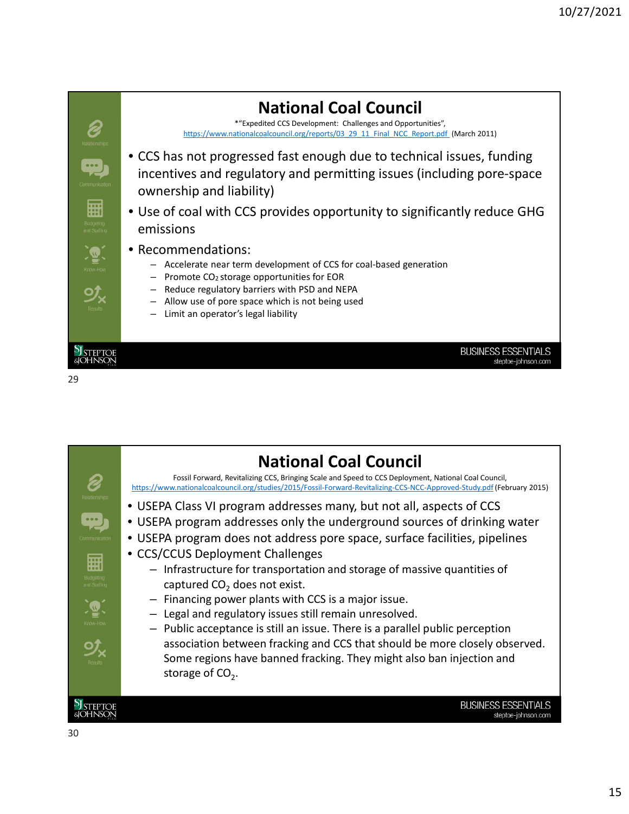![](_page_14_Figure_1.jpeg)

![](_page_14_Picture_2.jpeg)

![](_page_14_Picture_3.jpeg)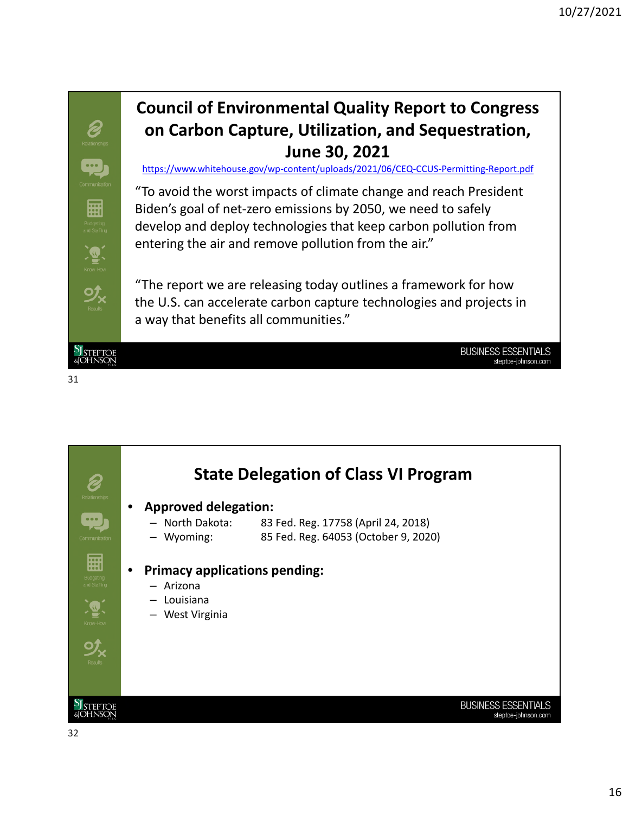![](_page_15_Picture_1.jpeg)

![](_page_15_Picture_2.jpeg)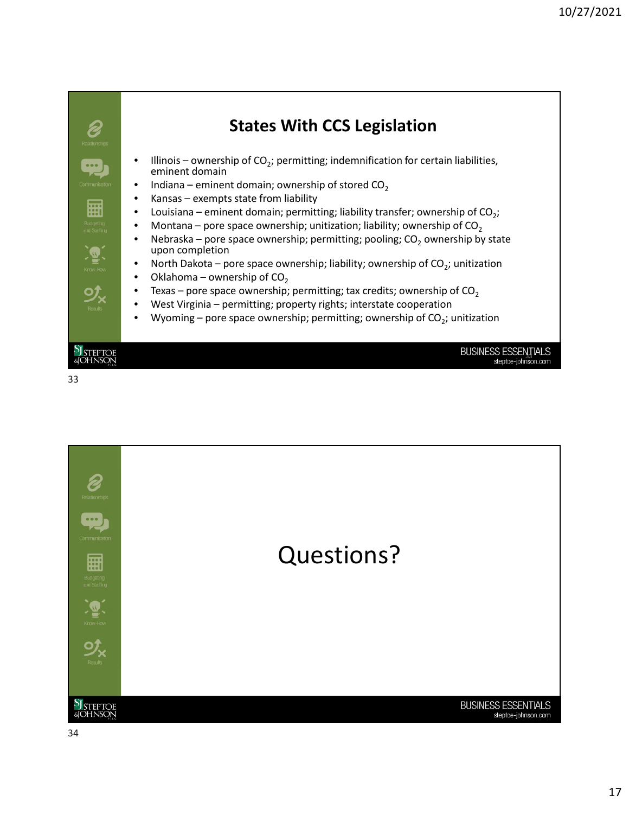![](_page_16_Figure_1.jpeg)

![](_page_16_Picture_2.jpeg)